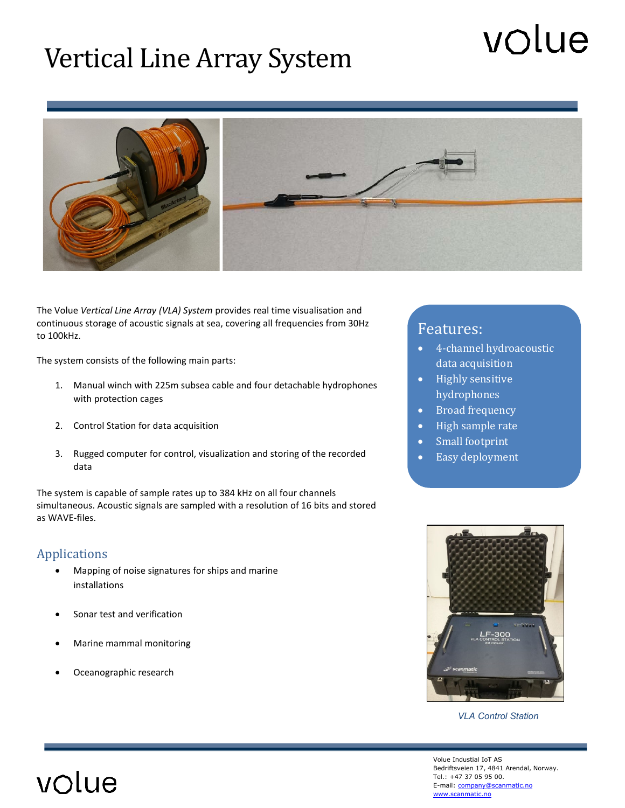# Vertical Line Array System

# volue



The Volue *Vertical Line Array (VLA) System* provides real time visualisation and continuous storage of acoustic signals at sea, covering all frequencies from 30Hz to 100kHz.

The system consists of the following main parts:

- 1. Manual winch with 225m subsea cable and four detachable hydrophones with protection cages
- 2. Control Station for data acquisition
- 3. Rugged computer for control, visualization and storing of the recorded data

The system is capable of sample rates up to 384 kHz on all four channels simultaneous. Acoustic signals are sampled with a resolution of 16 bits and stored as WAVE-files.

#### Applications

volue

- Mapping of noise signatures for ships and marine installations
- Sonar test and verification
- Marine mammal monitoring
- Oceanographic research

## Features:

- 4-channel hydroacoustic data acquisition
- Highly sensitive hydrophones
- Broad frequency
- High sample rate
- Small footprint
- Easy deployment



*VLA Control Station*

Volue Industial IoT AS Bedriftsveien 17, 4841 Arendal, Norway. Tel.: +47 37 05 95 00. E-mail[: company@scanmatic.no](mailto:company@scanmatic.no) [www.scanmatic.no](file://smax3/smpublic/DataBlad/Interne/Acoustic%20Mooring%20Line%20Monitoring/www.scanmatic.no)